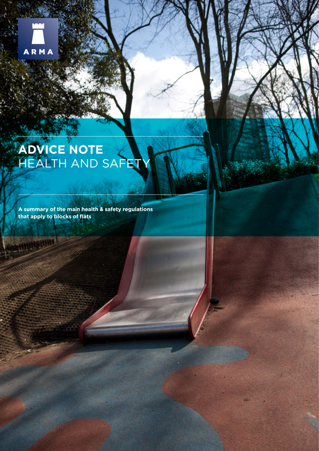

# **ADVICE NOTE** HEALTH AND SAFETY

**A summary of the main health & safety regulations that apply to blocks of flats**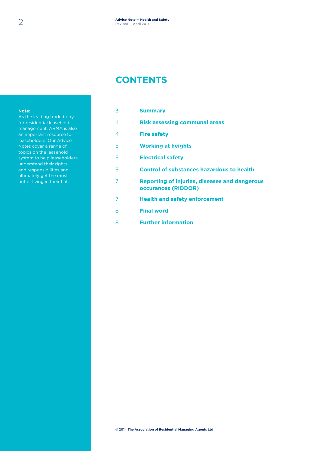#### **CONTENTS**

#### **Note:**

As the leading trade body for residential leasehold management, ARMA is also an important resource for leaseholders. Our Advice Notes cover a range of topics on the leasehold system to help leaseholders understand their rights and responsibilities and ultimately get the most out of living in their flat.

| 3              | <b>Summary</b>                                                              |
|----------------|-----------------------------------------------------------------------------|
| 4              | <b>Risk assessing communal areas</b>                                        |
| $\overline{4}$ | <b>Fire safety</b>                                                          |
| 5              | <b>Working at heights</b>                                                   |
| 5              | <b>Electrical safety</b>                                                    |
| 5              | <b>Control of substances hazardous to health</b>                            |
| 7              | Reporting of injuries, diseases and dangerous<br><b>occurances (RIDDOR)</b> |
| 7              | <b>Health and safety enforcement</b>                                        |
| 8              | <b>Final word</b>                                                           |
| 8              | <b>Further information</b>                                                  |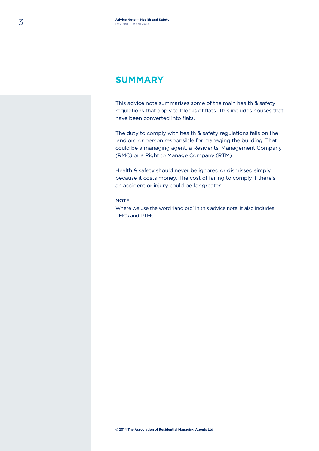#### **SUMMARY**

This advice note summarises some of the main health & safety regulations that apply to blocks of flats. This includes houses that have been converted into flats.

The duty to comply with health & safety regulations falls on the landlord or person responsible for managing the building. That could be a managing agent, a Residents' Management Company (RMC) or a Right to Manage Company (RTM).

Health & safety should never be ignored or dismissed simply because it costs money. The cost of failing to comply if there's an accident or injury could be far greater.

#### **NOTE**

Where we use the word 'landlord' in this advice note, it also includes RMCs and RTMs.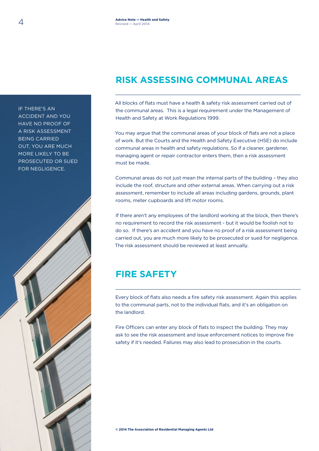# **RISK ASSESSING COMMUNAL AREAS**

All blocks of flats must have a health & safety risk assessment carried out of the communal areas. This is a legal requirement under the Management of Health and Safety at Work Regulations 1999.

You may argue that the communal areas of your block of flats are not a place of work. But the Courts and the Health and Safety Executive (HSE) do include communal areas in health and safety regulations. So if a cleaner, gardener, managing agent or repair contractor enters them, then a risk assessment must be made.

Communal areas do not just mean the internal parts of the building – they also include the roof, structure and other external areas. When carrying out a risk assessment, remember to include all areas including gardens, grounds, plant rooms, meter cupboards and lift motor rooms.

If there aren't any employees of the landlord working at the block, then there's no requirement to record the risk assessment - but it would be foolish not to do so. If there's an accident and you have no proof of a risk assessment being carried out, you are much more likely to be prosecuted or sued for negligence. The risk assessment should be reviewed at least annually.

# **FIRE SAFETY**

Every block of flats also needs a fire safety risk assessment. Again this applies to the communal parts, not to the individual flats, and it's an obligation on the landlord.

Fire Officers can enter any block of flats to inspect the building. They may ask to see the risk assessment and issue enforcement notices to improve fire safety if it's needed. Failures may also lead to prosecution in the courts.

HAVE NO PROOF OF A RISK ASSESSMENT BEING CARRIED OUT, YOU ARE MUCH MORE LIKELY TO BE PROSECUTED OR SUED FOR NEGLIGENCE.

IF THERE'S AN ACCIDENT AND YOU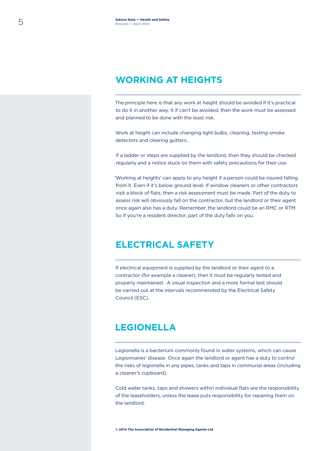### **WORKING AT HEIGHTS**

The principle here is that any work at height should be avoided if it's practical to do it in another way. It if can't be avoided, then the work must be assessed and planned to be done with the least risk.

Work at height can include changing light bulbs, cleaning, testing smoke detectors and clearing gutters.

If a ladder or steps are supplied by the landlord, then they should be checked regularly and a notice stuck on them with safety precautions for their use.

'Working at heights' can apply to any height if a person could be injured falling from it. Even if it's below ground level. If window cleaners or other contractors visit a block of flats, then a risk assessment must be made. Part of the duty to assess risk will obviously fall on the contractor, but the landlord or their agent once again also has a duty. Remember, the landlord could be an RMC or RTM. So if you're a resident director, part of the duty falls on you.

#### **ELECTRICAL SAFETY**

If electrical equipment is supplied by the landlord or their agent to a contractor (for example a cleaner), then it must be regularly tested and properly maintained. A visual inspection and a more formal test should be carried out at the intervals recommended by the Electrical Safety Council (ESC).

#### **LEGIONELLA**

Legionella is a bacterium commonly found in water systems, which can cause Legionnaires' disease. Once again the landlord or agent has a duty to control the risks of legionella in any pipes, tanks and taps in communal areas (including a cleaner's cupboard).

Cold water tanks, taps and showers within individual flats are the responsibility of the leaseholders, unless the lease puts responsibility for repairing them on the landlord.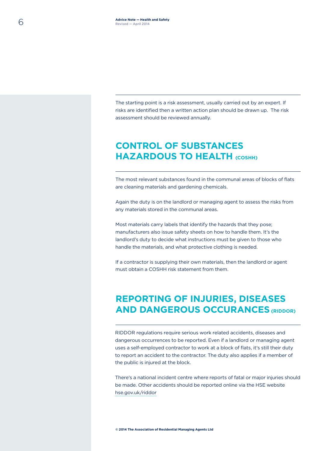The starting point is a risk assessment, usually carried out by an expert. If risks are identified then a written action plan should be drawn up. The risk assessment should be reviewed annually.

# **CONTROL OF SUBSTANCES HAZARDOUS TO HEALTH (COSHH)**

The most relevant substances found in the communal areas of blocks of flats are cleaning materials and gardening chemicals.

Again the duty is on the landlord or managing agent to assess the risks from any materials stored in the communal areas.

Most materials carry labels that identify the hazards that they pose; manufacturers also issue safety sheets on how to handle them. It's the landlord's duty to decide what instructions must be given to those who handle the materials, and what protective clothing is needed.

If a contractor is supplying their own materials, then the landlord or agent must obtain a COSHH risk statement from them.

# **REPORTING OF INJURIES, DISEASES AND DANGEROUS OCCURANCES (RIDDOR)**

RIDDOR regulations require serious work related accidents, diseases and dangerous occurrences to be reported. Even if a landlord or managing agent uses a self-employed contractor to work at a block of flats, it's still their duty to report an accident to the contractor. The duty also applies if a member of the public is injured at the block.

There's a national incident centre where reports of fatal or major injuries should be made. Other accidents should be reported online via the HSE website hse.gov.uk/riddor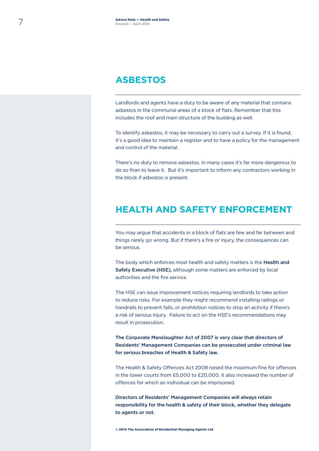### **ASBESTOS**

Landlords and agents have a duty to be aware of any material that contains asbestos in the communal areas of a block of flats. Remember that this includes the roof and main structure of the building as well.

To identify asbestos, it may be necessary to carry out a survey. If it is found, it's a good idea to maintain a register and to have a policy for the management and control of the material.

There's no duty to remove asbestos. In many cases it's far more dangerous to do so than to leave it. But it's important to inform any contractors working in the block if asbestos is present.

### **HEALTH AND SAFETY ENFORCEMENT**

You may argue that accidents in a block of flats are few and far between and things rarely go wrong. But if there's a fire or injury, the consequences can be serious.

The body which enforces most health and safety matters is the **Health and** Safety Executive (HSE), although some matters are enforced by local authorities and the fire service.

The HSE can issue improvement notices requiring landlords to take action to reduce risks. For example they might recommend installing railings or handrails to prevent falls, or prohibition notices to stop an activity if there's a risk of serious injury. Failure to act on the HSE's recommendations may result in prosecution.

The Corporate Manslaughter Act of 2007 is very clear that directors of Residents' Management Companies can be prosecuted under criminal law for serious breaches of Health & Safety law.

The Health & Safety Offences Act 2008 raised the maximum fine for offences in the lower courts from £5,000 to £20,000. It also increased the number of offences for which an individual can be imprisoned.

Directors of Residents' Management Companies will always retain responsibility for the health & safety of their block, whether they delegate to agents or not.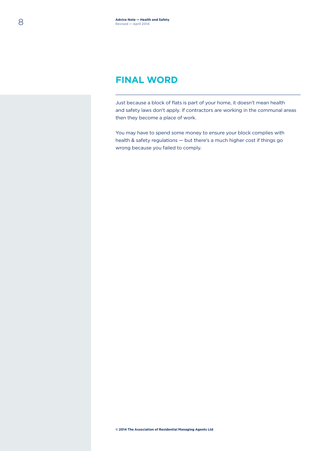### **FINAL WORD**

Just because a block of flats is part of your home, it doesn't mean health and safety laws don't apply. If contractors are working in the communal areas then they become a place of work.

You may have to spend some money to ensure your block complies with health & safety regulations — but there's a much higher cost if things go wrong because you failed to comply.